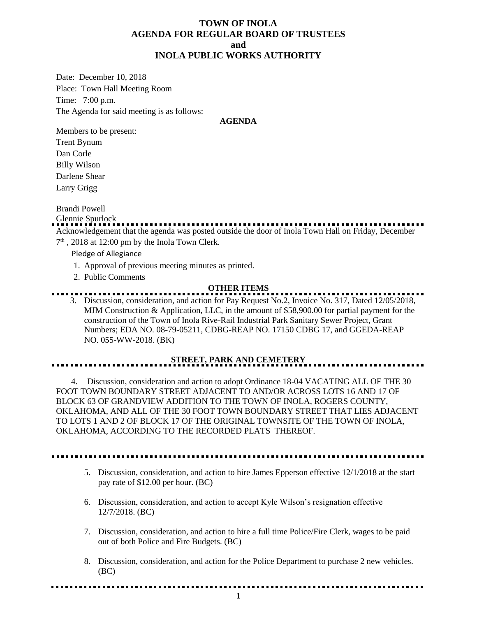## **TOWN OF INOLA AGENDA FOR REGULAR BOARD OF TRUSTEES and INOLA PUBLIC WORKS AUTHORITY**

Date: December 10, 2018 Place: Town Hall Meeting Room Time: 7:00 p.m. The Agenda for said meeting is as follows:

#### **AGENDA**

Members to be present: Trent Bynum Dan Corle

Billy Wilson Darlene Shear Larry Grigg

Brandi Powell

Glennie Spurlock Acknowledgement that the agenda was posted outside the door of Inola Town Hall on Friday, December

 $7<sup>th</sup>$ , 2018 at 12:00 pm by the Inola Town Clerk.

Pledge of Allegiance

- 1. Approval of previous meeting minutes as printed.
- 2. Public Comments

### **OTHER ITEMS**

3. Discussion, consideration, and action for Pay Request No.2, Invoice No. 317, Dated 12/05/2018, MJM Construction & Application, LLC, in the amount of \$58,900.00 for partial payment for the construction of the Town of Inola Rive-Rail Industrial Park Sanitary Sewer Project, Grant Numbers; EDA NO. 08-79-05211, CDBG-REAP NO. 17150 CDBG 17, and GGEDA-REAP NO. 055-WW-2018. (BK)

# **STREET, PARK AND CEMETERY**

 4. Discussion, consideration and action to adopt Ordinance 18-04 VACATING ALL OF THE 30 FOOT TOWN BOUNDARY STREET ADJACENT TO AND/OR ACROSS LOTS 16 AND 17 OF BLOCK 63 OF GRANDVIEW ADDITION TO THE TOWN OF INOLA, ROGERS COUNTY, OKLAHOMA, AND ALL OF THE 30 FOOT TOWN BOUNDARY STREET THAT LIES ADJACENT TO LOTS 1 AND 2 OF BLOCK 17 OF THE ORIGINAL TOWNSITE OF THE TOWN OF INOLA, OKLAHOMA, ACCORDING TO THE RECORDED PLATS THEREOF.

- 5. Discussion, consideration, and action to hire James Epperson effective 12/1/2018 at the start pay rate of \$12.00 per hour. (BC)
- 6. Discussion, consideration, and action to accept Kyle Wilson's resignation effective 12/7/2018. (BC)
- 7. Discussion, consideration, and action to hire a full time Police/Fire Clerk, wages to be paid out of both Police and Fire Budgets. (BC)
- 8. Discussion, consideration, and action for the Police Department to purchase 2 new vehicles. (BC)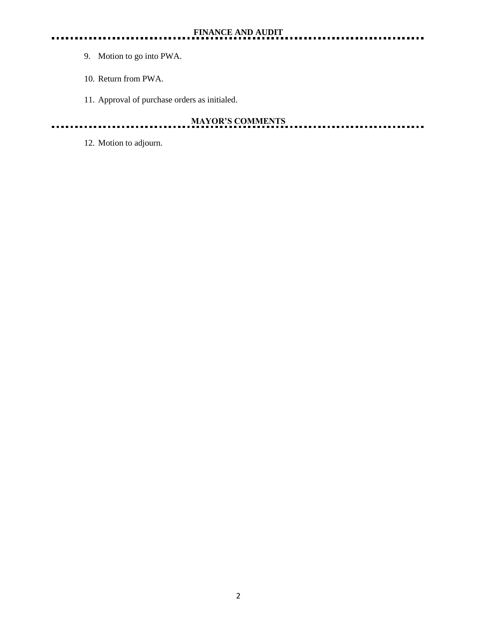- 9. Motion to go into PWA.
- 10. Return from PWA.
- 11. Approval of purchase orders as initialed.

#### **MAYOR'S COMMENTS** <u>. . . . . .</u> . . . ......

12. Motion to adjourn.